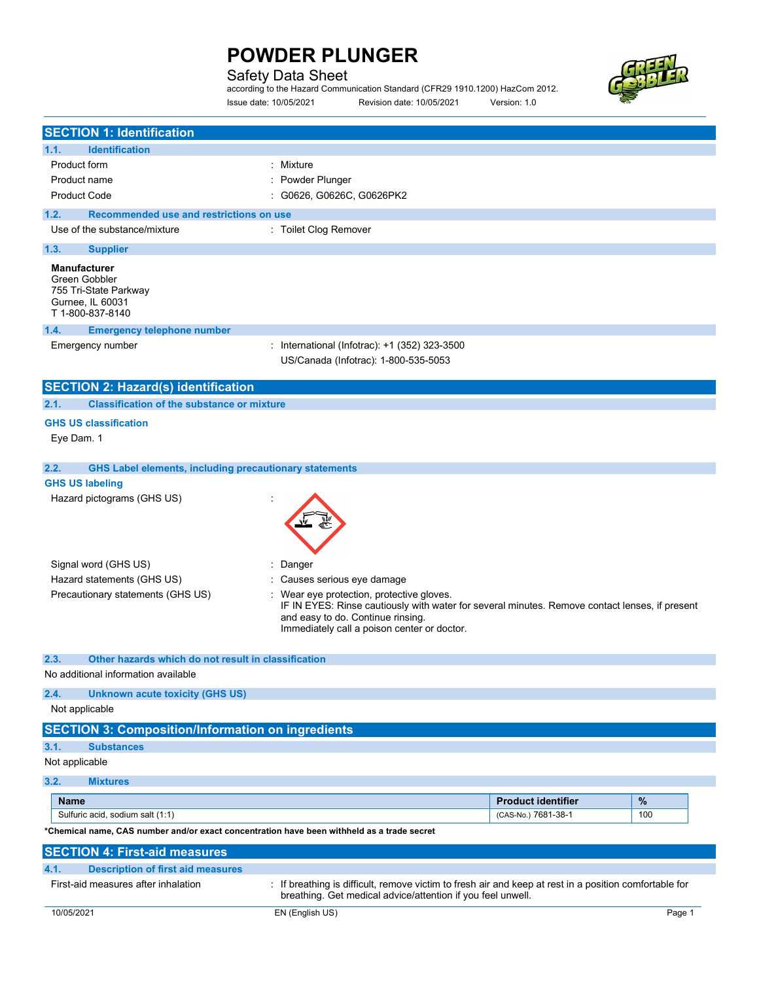### Safety Data Sheet

according to the Hazard Communication Standard (CFR29 1910.1200) HazCom 2012. Issue date: 10/05/2021 Revision date: 10/05/2021 Version: 1.0



| <b>SECTION 1: Identification</b>                                                                      |                                                                                                                               |                                                                                                        |        |
|-------------------------------------------------------------------------------------------------------|-------------------------------------------------------------------------------------------------------------------------------|--------------------------------------------------------------------------------------------------------|--------|
| <b>Identification</b><br>1.1.                                                                         |                                                                                                                               |                                                                                                        |        |
| Product form                                                                                          | : Mixture                                                                                                                     |                                                                                                        |        |
| Product name                                                                                          | Powder Plunger                                                                                                                |                                                                                                        |        |
| <b>Product Code</b>                                                                                   | : G0626, G0626C, G0626PK2                                                                                                     |                                                                                                        |        |
| Recommended use and restrictions on use<br>1.2.                                                       |                                                                                                                               |                                                                                                        |        |
| Use of the substance/mixture                                                                          | : Toilet Clog Remover                                                                                                         |                                                                                                        |        |
| 1.3.<br><b>Supplier</b>                                                                               |                                                                                                                               |                                                                                                        |        |
| <b>Manufacturer</b><br>Green Gobbler<br>755 Tri-State Parkway<br>Gurnee, IL 60031<br>T 1-800-837-8140 |                                                                                                                               |                                                                                                        |        |
| 1.4.<br><b>Emergency telephone number</b>                                                             |                                                                                                                               |                                                                                                        |        |
| Emergency number                                                                                      | : International (Infotrac): +1 (352) 323-3500<br>US/Canada (Infotrac): 1-800-535-5053                                         |                                                                                                        |        |
| <b>SECTION 2: Hazard(s) identification</b>                                                            |                                                                                                                               |                                                                                                        |        |
| 2.1.<br><b>Classification of the substance or mixture</b>                                             |                                                                                                                               |                                                                                                        |        |
| <b>GHS US classification</b><br>Eye Dam. 1                                                            |                                                                                                                               |                                                                                                        |        |
| 2.2.<br><b>GHS Label elements, including precautionary statements</b>                                 |                                                                                                                               |                                                                                                        |        |
| <b>GHS US labeling</b><br>Hazard pictograms (GHS US)                                                  |                                                                                                                               |                                                                                                        |        |
|                                                                                                       |                                                                                                                               |                                                                                                        |        |
| Signal word (GHS US)                                                                                  | Danger<br>÷                                                                                                                   |                                                                                                        |        |
| Hazard statements (GHS US)                                                                            | : Causes serious eye damage                                                                                                   |                                                                                                        |        |
| Precautionary statements (GHS US)                                                                     | : Wear eye protection, protective gloves.<br>and easy to do. Continue rinsing.<br>Immediately call a poison center or doctor. | IF IN EYES: Rinse cautiously with water for several minutes. Remove contact lenses, if present         |        |
| 2.3.                                                                                                  |                                                                                                                               |                                                                                                        |        |
| Other hazards which do not result in classification<br>No additional information available            |                                                                                                                               |                                                                                                        |        |
|                                                                                                       |                                                                                                                               |                                                                                                        |        |
| 2.4.<br><b>Unknown acute toxicity (GHS US)</b><br>Not applicable                                      |                                                                                                                               |                                                                                                        |        |
|                                                                                                       |                                                                                                                               |                                                                                                        |        |
| <b>SECTION 3: Composition/Information on ingredients</b>                                              |                                                                                                                               |                                                                                                        |        |
| 3.1.<br><b>Substances</b>                                                                             |                                                                                                                               |                                                                                                        |        |
| Not applicable                                                                                        |                                                                                                                               |                                                                                                        |        |
| 3.2.<br><b>Mixtures</b>                                                                               |                                                                                                                               |                                                                                                        |        |
| <b>Name</b>                                                                                           |                                                                                                                               | <b>Product identifier</b>                                                                              | $\%$   |
| Sulfuric acid, sodium salt (1:1)                                                                      |                                                                                                                               | (CAS-No.) 7681-38-1                                                                                    | 100    |
| *Chemical name, CAS number and/or exact concentration have been withheld as a trade secret            |                                                                                                                               |                                                                                                        |        |
| <b>SECTION 4: First-aid measures</b>                                                                  |                                                                                                                               |                                                                                                        |        |
| 4.1.<br><b>Description of first aid measures</b>                                                      |                                                                                                                               |                                                                                                        |        |
| First-aid measures after inhalation                                                                   | breathing. Get medical advice/attention if you feel unwell.                                                                   | : If breathing is difficult, remove victim to fresh air and keep at rest in a position comfortable for |        |
| 10/05/2021                                                                                            | EN (English US)                                                                                                               |                                                                                                        | Page 1 |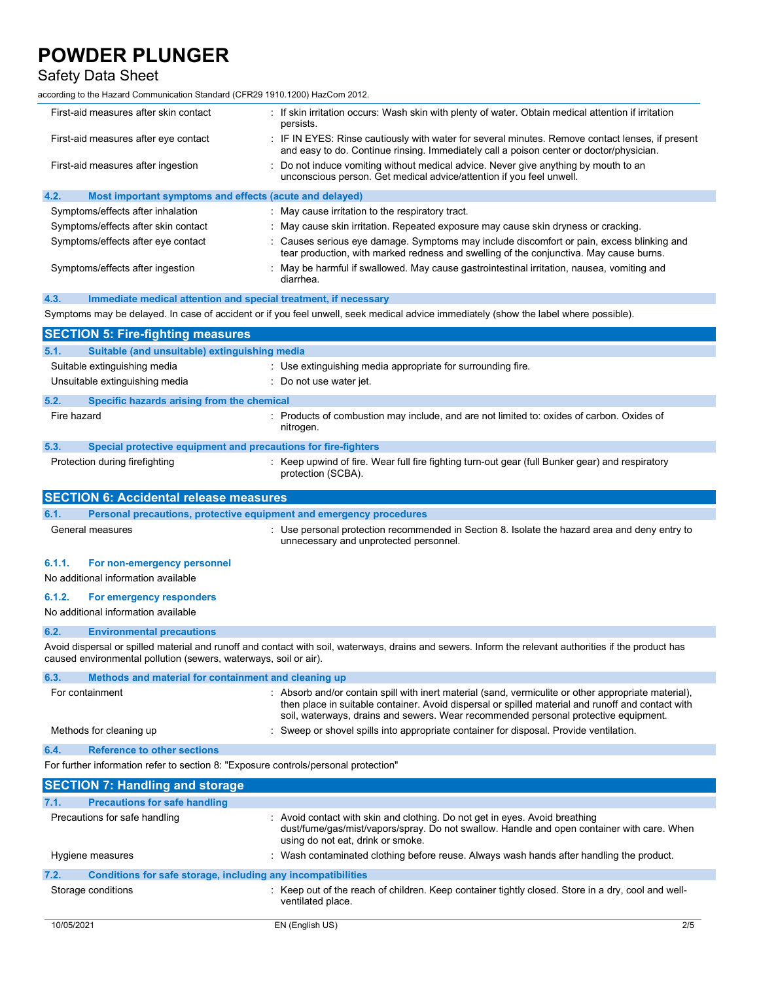### Safety Data Sheet

according to the Hazard Communication Standard (CFR29 1910.1200) HazCom 2012.

| First-aid measures after skin contact                                               | f If skin irritation occurs: Wash skin with plenty of water. Obtain medical attention if irritation<br>persists.                                                                                                                                                                               |  |
|-------------------------------------------------------------------------------------|------------------------------------------------------------------------------------------------------------------------------------------------------------------------------------------------------------------------------------------------------------------------------------------------|--|
| First-aid measures after eye contact                                                | IF IN EYES: Rinse cautiously with water for several minutes. Remove contact lenses, if present<br>and easy to do. Continue rinsing. Immediately call a poison center or doctor/physician.                                                                                                      |  |
| First-aid measures after ingestion                                                  | Do not induce vomiting without medical advice. Never give anything by mouth to an<br>unconscious person. Get medical advice/attention if you feel unwell.                                                                                                                                      |  |
| 4.2.<br>Most important symptoms and effects (acute and delayed)                     |                                                                                                                                                                                                                                                                                                |  |
| Symptoms/effects after inhalation                                                   | : May cause irritation to the respiratory tract.                                                                                                                                                                                                                                               |  |
| Symptoms/effects after skin contact                                                 | May cause skin irritation. Repeated exposure may cause skin dryness or cracking.                                                                                                                                                                                                               |  |
| Symptoms/effects after eye contact                                                  | Causes serious eye damage. Symptoms may include discomfort or pain, excess blinking and<br>tear production, with marked redness and swelling of the conjunctiva. May cause burns.                                                                                                              |  |
| Symptoms/effects after ingestion                                                    | May be harmful if swallowed. May cause gastrointestinal irritation, nausea, vomiting and<br>diarrhea.                                                                                                                                                                                          |  |
| Immediate medical attention and special treatment, if necessary<br>4.3.             |                                                                                                                                                                                                                                                                                                |  |
|                                                                                     | Symptoms may be delayed. In case of accident or if you feel unwell, seek medical advice immediately (show the label where possible).                                                                                                                                                           |  |
| <b>SECTION 5: Fire-fighting measures</b>                                            |                                                                                                                                                                                                                                                                                                |  |
| 5.1.<br>Suitable (and unsuitable) extinguishing media                               |                                                                                                                                                                                                                                                                                                |  |
| Suitable extinguishing media                                                        | : Use extinguishing media appropriate for surrounding fire.                                                                                                                                                                                                                                    |  |
| Unsuitable extinguishing media                                                      | Do not use water jet.                                                                                                                                                                                                                                                                          |  |
| 5.2.<br>Specific hazards arising from the chemical                                  |                                                                                                                                                                                                                                                                                                |  |
| Fire hazard                                                                         | : Products of combustion may include, and are not limited to: oxides of carbon. Oxides of<br>nitrogen.                                                                                                                                                                                         |  |
| 5.3.<br>Special protective equipment and precautions for fire-fighters              |                                                                                                                                                                                                                                                                                                |  |
| Protection during firefighting                                                      | Keep upwind of fire. Wear full fire fighting turn-out gear (full Bunker gear) and respiratory<br>protection (SCBA).                                                                                                                                                                            |  |
| <b>SECTION 6: Accidental release measures</b>                                       |                                                                                                                                                                                                                                                                                                |  |
|                                                                                     |                                                                                                                                                                                                                                                                                                |  |
| Personal precautions, protective equipment and emergency procedures<br>6.1.         |                                                                                                                                                                                                                                                                                                |  |
| General measures                                                                    | : Use personal protection recommended in Section 8. Isolate the hazard area and deny entry to<br>unnecessary and unprotected personnel.                                                                                                                                                        |  |
| 6.1.1.<br>For non-emergency personnel                                               |                                                                                                                                                                                                                                                                                                |  |
| No additional information available                                                 |                                                                                                                                                                                                                                                                                                |  |
|                                                                                     |                                                                                                                                                                                                                                                                                                |  |
| 6.1.2.<br>For emergency responders<br>No additional information available           |                                                                                                                                                                                                                                                                                                |  |
| 6.2.<br><b>Environmental precautions</b>                                            |                                                                                                                                                                                                                                                                                                |  |
| caused environmental pollution (sewers, waterways, soil or air).                    | Avoid dispersal or spilled material and runoff and contact with soil, waterways, drains and sewers. Inform the relevant authorities if the product has                                                                                                                                         |  |
| Methods and material for containment and cleaning up<br>6.3.                        |                                                                                                                                                                                                                                                                                                |  |
| For containment                                                                     | Absorb and/or contain spill with inert material (sand, vermiculite or other appropriate material),<br>then place in suitable container. Avoid dispersal or spilled material and runoff and contact with<br>soil, waterways, drains and sewers. Wear recommended personal protective equipment. |  |
| Methods for cleaning up                                                             | Sweep or shovel spills into appropriate container for disposal. Provide ventilation.                                                                                                                                                                                                           |  |
| <b>Reference to other sections</b><br>6.4.                                          |                                                                                                                                                                                                                                                                                                |  |
| For further information refer to section 8: "Exposure controls/personal protection" |                                                                                                                                                                                                                                                                                                |  |
|                                                                                     |                                                                                                                                                                                                                                                                                                |  |
| <b>SECTION 7: Handling and storage</b>                                              |                                                                                                                                                                                                                                                                                                |  |
| <b>Precautions for safe handling</b><br>7.1.<br>Precautions for safe handling       | : Avoid contact with skin and clothing. Do not get in eyes. Avoid breathing<br>dust/fume/gas/mist/vapors/spray. Do not swallow. Handle and open container with care. When<br>using do not eat, drink or smoke.                                                                                 |  |
| Hygiene measures                                                                    | Wash contaminated clothing before reuse. Always wash hands after handling the product.                                                                                                                                                                                                         |  |
| 7.2.<br>Conditions for safe storage, including any incompatibilities                |                                                                                                                                                                                                                                                                                                |  |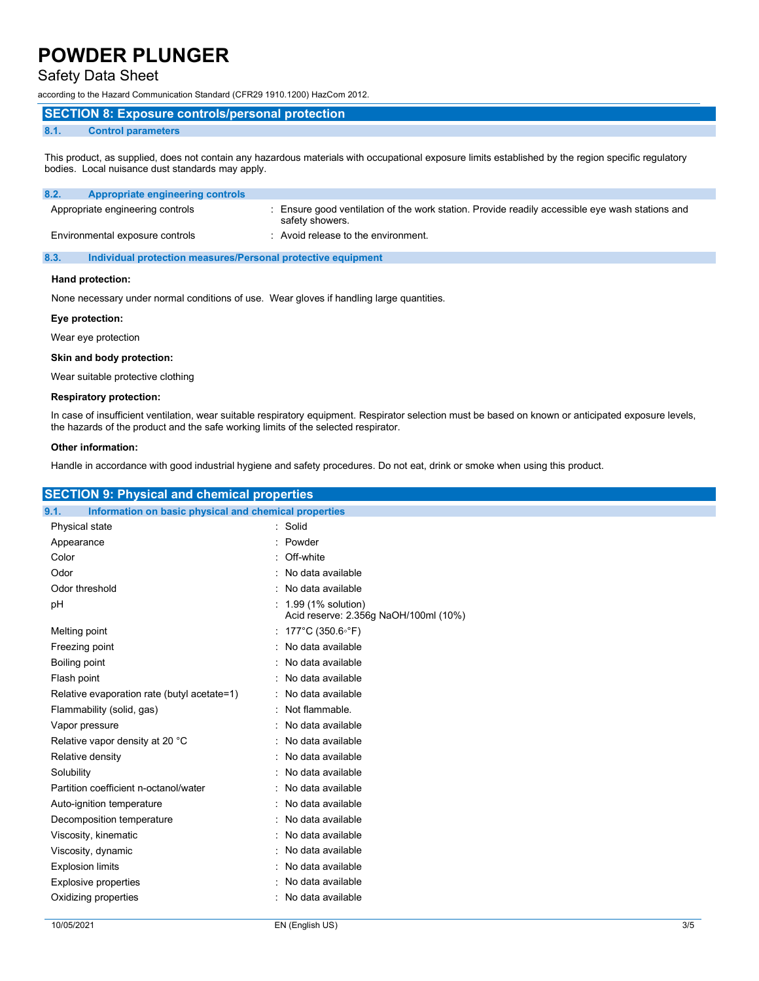### Safety Data Sheet

according to the Hazard Communication Standard (CFR29 1910.1200) HazCom 2012.

#### SECTION 8: Exposure controls/personal protection

#### 8.1. Control parameters

This product, as supplied, does not contain any hazardous materials with occupational exposure limits established by the region specific regulatory bodies. Local nuisance dust standards may apply.

| Appropriate engineering controls<br>8.2. |                                                                                                                  |
|------------------------------------------|------------------------------------------------------------------------------------------------------------------|
| Appropriate engineering controls         | Ensure good ventilation of the work station. Provide readily accessible eye wash stations and<br>safety showers. |
| Environmental exposure controls          | : Avoid release to the environment.                                                                              |

8.3. Individual protection measures/Personal protective equipment

#### Hand protection:

None necessary under normal conditions of use. Wear gloves if handling large quantities.

#### Eye protection:

Wear eye protection

#### Skin and body protection:

Wear suitable protective clothing

#### Respiratory protection:

In case of insufficient ventilation, wear suitable respiratory equipment. Respirator selection must be based on known or anticipated exposure levels, the hazards of the product and the safe working limits of the selected respirator.

#### Other information:

Handle in accordance with good industrial hygiene and safety procedures. Do not eat, drink or smoke when using this product.

| <b>SECTION 9: Physical and chemical properties</b>            |                                                               |  |  |  |
|---------------------------------------------------------------|---------------------------------------------------------------|--|--|--|
| Information on basic physical and chemical properties<br>9.1. |                                                               |  |  |  |
| Physical state                                                | : Solid                                                       |  |  |  |
| Appearance                                                    | Powder                                                        |  |  |  |
| Color                                                         | Off-white                                                     |  |  |  |
| Odor                                                          | : No data available                                           |  |  |  |
| Odor threshold                                                | : No data available                                           |  |  |  |
| pH                                                            | : 1.99 (1% solution)<br>Acid reserve: 2.356g NaOH/100ml (10%) |  |  |  |
| Melting point                                                 | : 177°C (350.6°F)                                             |  |  |  |
| Freezing point                                                | : No data available                                           |  |  |  |
| Boiling point                                                 | : No data available                                           |  |  |  |
| Flash point                                                   | No data available                                             |  |  |  |
| Relative evaporation rate (butyl acetate=1)                   | · No data available                                           |  |  |  |
| Flammability (solid, gas)                                     | : Not flammable.                                              |  |  |  |
| Vapor pressure                                                | : No data available                                           |  |  |  |
| Relative vapor density at 20 °C                               | : No data available                                           |  |  |  |
| Relative density                                              | : No data available                                           |  |  |  |
| Solubility                                                    | : No data available                                           |  |  |  |
| Partition coefficient n-octanol/water                         | No data available                                             |  |  |  |
| Auto-ignition temperature                                     | : No data available                                           |  |  |  |
| Decomposition temperature                                     | No data available                                             |  |  |  |
| Viscosity, kinematic                                          | : No data available                                           |  |  |  |
| Viscosity, dynamic                                            | No data available                                             |  |  |  |
| <b>Explosion limits</b>                                       | : No data available                                           |  |  |  |
| <b>Explosive properties</b>                                   | No data available                                             |  |  |  |
| Oxidizing properties                                          | : No data available                                           |  |  |  |
|                                                               |                                                               |  |  |  |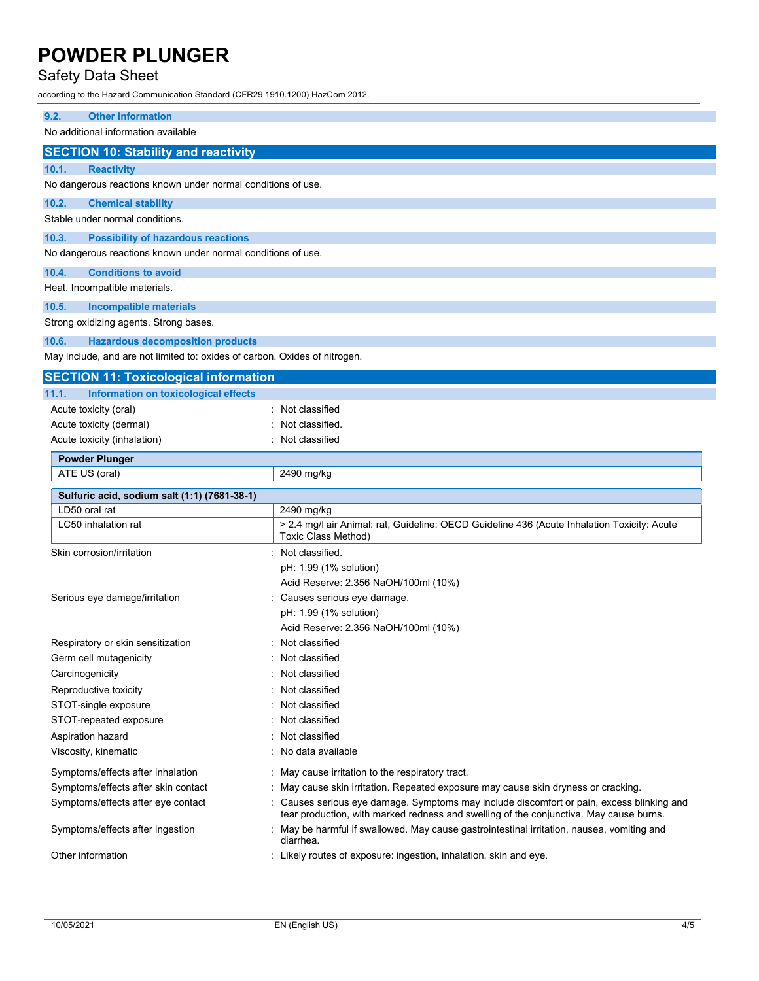### Safety Data Sheet

according to the Hazard Communication Standard (CFR29 1910.1200) HazCom 2012.

| 9.2.<br><b>Other information</b>                                           |                                                                                                                           |
|----------------------------------------------------------------------------|---------------------------------------------------------------------------------------------------------------------------|
| No additional information available                                        |                                                                                                                           |
| <b>SECTION 10: Stability and reactivity</b>                                |                                                                                                                           |
| 10.1.<br><b>Reactivity</b>                                                 |                                                                                                                           |
| No dangerous reactions known under normal conditions of use.               |                                                                                                                           |
| 10.2.<br><b>Chemical stability</b>                                         |                                                                                                                           |
| Stable under normal conditions.                                            |                                                                                                                           |
| 10.3.<br><b>Possibility of hazardous reactions</b>                         |                                                                                                                           |
| No dangerous reactions known under normal conditions of use.               |                                                                                                                           |
| 10.4.<br><b>Conditions to avoid</b>                                        |                                                                                                                           |
| Heat. Incompatible materials.                                              |                                                                                                                           |
| 10.5.<br><b>Incompatible materials</b>                                     |                                                                                                                           |
| Strong oxidizing agents. Strong bases.                                     |                                                                                                                           |
| 10.6.<br><b>Hazardous decomposition products</b>                           |                                                                                                                           |
| May include, and are not limited to: oxides of carbon. Oxides of nitrogen. |                                                                                                                           |
| <b>SECTION 11: Toxicological information</b>                               |                                                                                                                           |
| 11.1.<br>Information on toxicological effects                              |                                                                                                                           |
| Acute toxicity (oral)                                                      | : Not classified                                                                                                          |
| Acute toxicity (dermal)                                                    | Not classified.                                                                                                           |
| Acute toxicity (inhalation)                                                | Not classified                                                                                                            |
| <b>Powder Plunger</b>                                                      |                                                                                                                           |
| ATE US (oral)                                                              | 2490 mg/kg                                                                                                                |
| Sulfuric acid, sodium salt (1:1) (7681-38-1)                               |                                                                                                                           |
| LD50 oral rat                                                              | 2490 mg/kg                                                                                                                |
| LC50 inhalation rat                                                        | > 2.4 mg/l air Animal: rat, Guideline: OECD Guideline 436 (Acute Inhalation Toxicity: Acute<br><b>Toxic Class Method)</b> |
| Skin corrosion/irritation                                                  | Not classified.                                                                                                           |
|                                                                            | pH: 1.99 (1% solution)                                                                                                    |
|                                                                            | Acid Reserve: 2.356 NaOH/100ml (10%)                                                                                      |
| Serious eye damage/irritation                                              | Causes serious eye damage.                                                                                                |
|                                                                            | pH: 1.99 (1% solution)                                                                                                    |
| Respiratory or skin sensitization                                          | Acid Reserve: 2.356 NaOH/100ml (10%)<br>Not classified                                                                    |
|                                                                            |                                                                                                                           |

Germ cell mutagenicity **Solution Contract Contract Contract Contract Contract Contract Contract Contract Contract Contract Contract Contract Contract Contract Contract Contract Contract Contract Contract Contract Contract** Carcinogenicity **Carcinogenicity 1999 Carcinogenicity Carcial Carcial Carcial Carcial Carcial Carcial Carcial Carcial Carcial Carcial Carcial Carcial Carcial Carcial Carcial Carcial Carcial Carcial Carcial Carcial Ca** Reproductive toxicity **in the COV Reproductive toxicity in the COV COV COV COV COV COV COV COV COV COV COV COV COV COV COV COV COV COV COV COV COV COV COV COV COV COV** STOT-single exposure in the state of the state of the STOT-single exposure STOT-repeated exposure in the state of the state of the STOT-repeated exposure Aspiration hazard **in the set of the set of the set of the set of the set of the set of the set of the set of the set of the set of the set of the set of the set of the set of the set of the set of the set of the set of th** Viscosity, kinematic **intervalse in the Contract Contract Contract Contract Contract Contract Contract Contract Contract Contract Contract Contract Contract Contract Contract Contract Contract Contract Contract Contract Co** Symptoms/effects after inhalation : May cause irritation to the respiratory tract. Symptoms/effects after skin contact : May cause skin irritation. Repeated exposure may cause skin dryness or cracking. Symptoms/effects after eye contact : Causes serious eye damage. Symptoms may include discomfort or pain, excess blinking and tear production, with marked redness and swelling of the conjunctiva. May cause burns. Symptoms/effects after ingestion : May be harmful if swallowed. May cause gastrointestinal irritation, nausea, vomiting and diarrhea.

Other information **contained in the contained in the Control**: Likely routes of exposure: ingestion, inhalation, skin and eye.